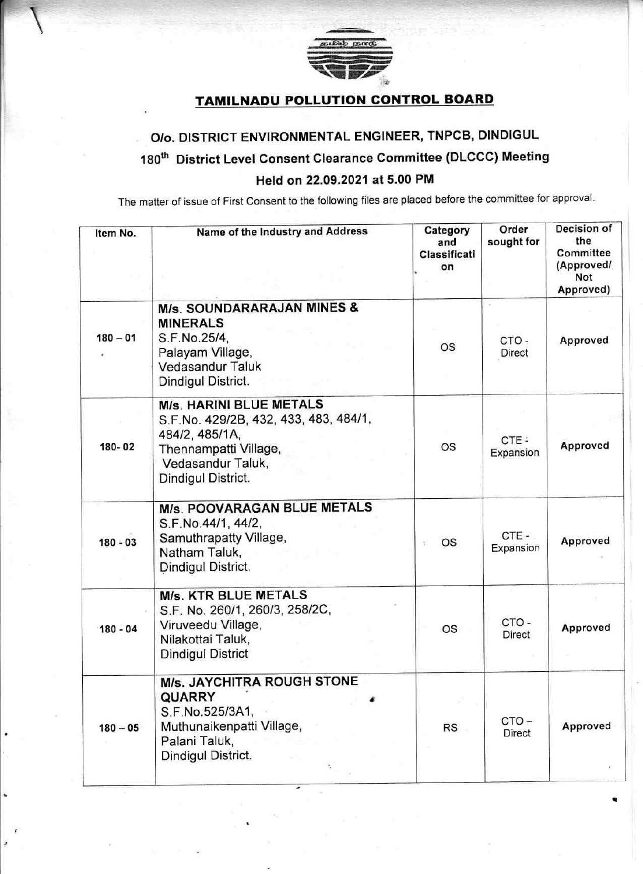

## TAMILNADU POLLUTION GONTROL BOARD

.

## O/O. DISTRICT ENVIRONMENTAL ENGINEER, TNPCB, DINDIGUL

## 180<sup>th</sup> District Level Consent Clearance Committee (DLCCC) Meeting

## Held on 22.09.2021 at 5.00 PM

The matter of issue of First Consent to the following files are placed before the committee for approval.

| Item No.   | Name of the Industry and Address                                                                                                                              | Category<br>and<br>Classificati<br>on | Order<br>sought for   | Decision of<br>the<br>Committee<br>(Approved/<br>Not<br>Approved) |
|------------|---------------------------------------------------------------------------------------------------------------------------------------------------------------|---------------------------------------|-----------------------|-------------------------------------------------------------------|
| $180 - 01$ | <b>M/s. SOUNDARARAJAN MINES &amp;</b><br><b>MINERALS</b><br>S.F.No.25/4,<br>Palayam Village,<br><b>Vedasandur Taluk</b><br>Dindigul District.                 | OS                                    | CTO-<br><b>Direct</b> | Approved                                                          |
| 180-02     | <b>M/s. HARINI BLUE METALS</b><br>S.F.No. 429/2B, 432, 433, 483, 484/1,<br>484/2, 485/1A,<br>Thennampatti Village,<br>Vedasandur Taluk,<br>Dindigul District. | OS                                    | CTE -<br>Expansion    | Approved                                                          |
| $180 - 03$ | M/s. POOVARAGAN BLUE METALS<br>S.F.No.44/1, 44/2,<br>Samuthrapatty Village,<br>Natham Taluk,<br>Dindigul District.                                            | <b>OS</b><br>v.                       | CTE-<br>Expansion     | Approved                                                          |
| $180 - 04$ | <b>M/s. KTR BLUE METALS</b><br>S.F. No. 260/1, 260/3, 258/2C,<br>Viruveedu Village,<br>Nilakottai Taluk,<br><b>Dindigul District</b>                          | OS                                    | CTO-<br>Direct        | Approved                                                          |
| $180 - 05$ | <b>M/s. JAYCHITRA ROUGH STONE</b><br><b>QUARRY</b><br>S.F.No.525/3A1,<br>Muthunaikenpatti Village,<br>Palani Taluk,<br>Dindigul District.                     | <b>RS</b>                             | $CTO -$<br>Direct     | Approved                                                          |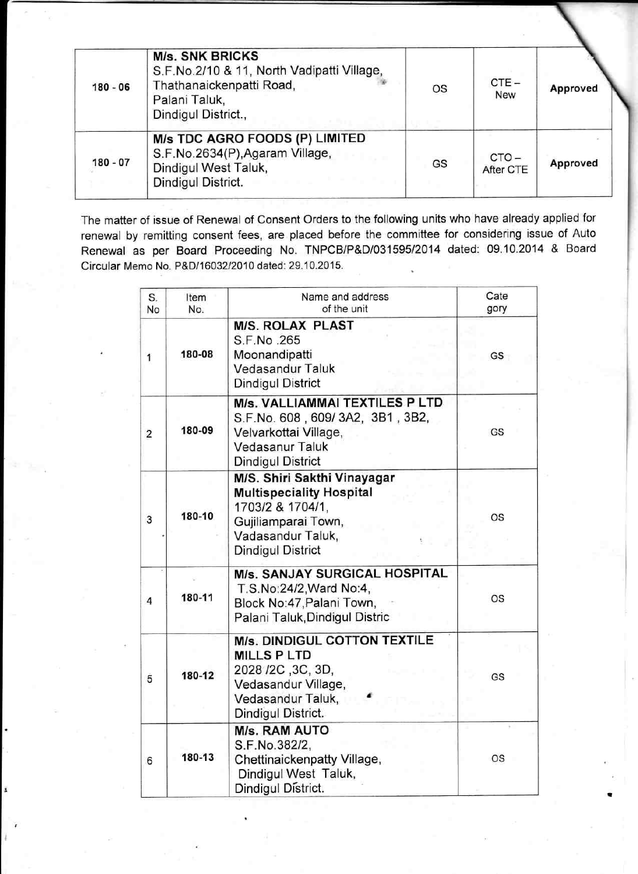| $180 - 06$ | <b>M/s. SNK BRICKS</b><br>S.F.No.2/10 & 11, North Vadipatti Village,<br>Thathanaickenpatti Road,<br>Palani Taluk,<br>Dindigul District., | OS | $CTE -$<br>New       | Approved |
|------------|------------------------------------------------------------------------------------------------------------------------------------------|----|----------------------|----------|
| $180 - 07$ | <b>M/s TDC AGRO FOODS (P) LIMITED</b><br>S.F.No.2634(P), Agaram Village,<br>Dindigul West Taluk,<br>Dindigul District.                   | GS | $CTO -$<br>After CTE | Approved |

The matter of issue of Renewal of Consent Orders to the following units who have already applied for renewal by remitting consent fees, are placed before the committee for considering issue of Auto Renewal as per Board Proceeding No. TNPCB/P&D/03159512014 dated: 09.10.2014 & Board Circular Memo No. P&D/1603212010 dated: 29.10.2015.

| S.<br>No       | Item<br>No. | Name and address<br>of the unit                                                                                                                            | Cate<br>gory |
|----------------|-------------|------------------------------------------------------------------------------------------------------------------------------------------------------------|--------------|
| 1              | 180-08      | <b>M/S. ROLAX PLAST</b><br>S.F.No.265<br>Moonandipatti<br><b>Vedasandur Taluk</b><br><b>Dindigul District</b>                                              | GS           |
| $\overline{c}$ | 180-09      | M/s. VALLIAMMAI TEXTILES P LTD<br>S.F.No. 608, 609/3A2, 3B1, 3B2,<br>Velvarkottai Village,<br><b>Vedasanur Taluk</b><br>Dindigul District                  | GS           |
| 3              | 180-10      | M/S. Shiri Sakthi Vinayagar<br><b>Multispeciality Hospital</b><br>1703/2 & 1704/1,<br>Gujiliamparai Town,<br>Vadasandur Taluk,<br><b>Dindigul District</b> | OS           |
| 4              | 180-11      | M/s. SANJAY SURGICAL HOSPITAL<br>T.S.No:24/2, Ward No:4,<br>Block No:47, Palani Town,<br>Palani Taluk, Dindigul Distric                                    | <b>OS</b>    |
| 5              | 180-12      | M/s. DINDIGUL COTTON TEXTILE<br><b>MILLS PLTD</b><br>2028 /2C, 3C, 3D,<br>Vedasandur Village,<br>Vedasandur Taluk,<br>Dindigul District.                   | GS           |
| 6              | 180-13      | <b>M/s. RAM AUTO</b><br>S.F.No.382/2,<br>Chettinaickenpatty Village,<br>Dindigul West Taluk,<br>Dindigul District.                                         | OS           |